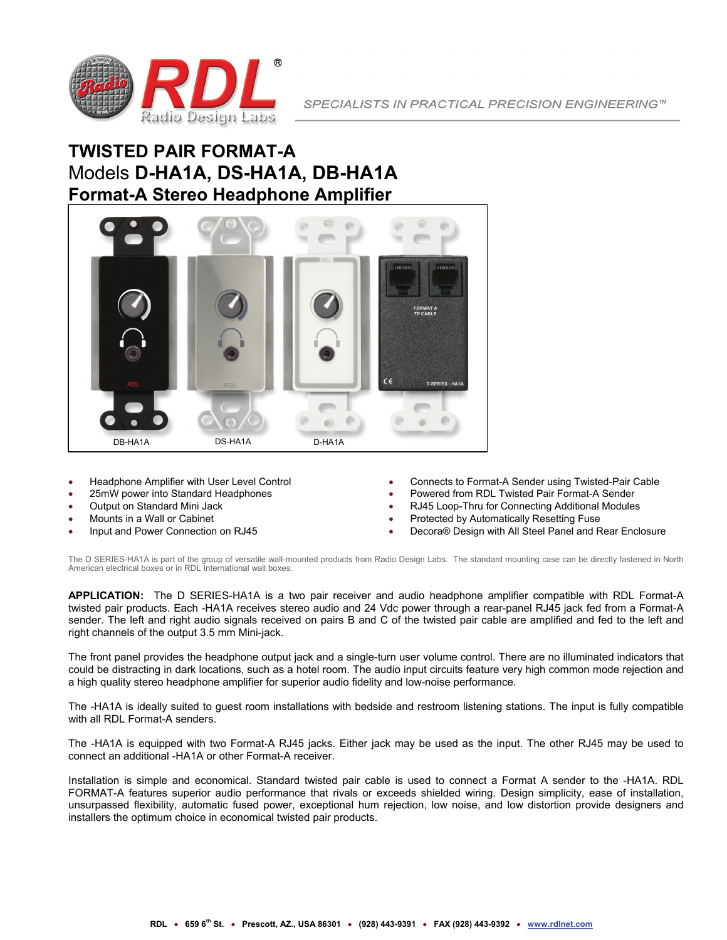

# **TWISTED PAIR FORMAT-A** Models **D-HA1A, DS-HA1A, DB-HA1A Format-A Stereo Headphone Amplifier**



- Headphone Amplifier with User Level Control
- 25mW power into Standard Headphones
- Output on Standard Mini Jack
- Mounts in a Wall or Cabinet
- Input and Power Connection on RJ45
- Connects to Format-A Sender using Twisted-Pair Cable
- Powered from RDL Twisted Pair Format-A Sender
- RJ45 Loop-Thru for Connecting Additional Modules
- Protected by Automatically Resetting Fuse
- Decora® Design with All Steel Panel and Rear Enclosure

The D SERIES-HA1A is part of the group of versatile wall-mounted products from Radio Design Labs. The standard mounting case can be directly fastened in North American electrical boxes or in RDL International wall boxes.

**APPLICATION:** The D SERIES-HA1A is a two pair receiver and audio headphone amplifier compatible with RDL Format-A twisted pair products. Each -HA1A receives stereo audio and 24 Vdc power through a rear-panel RJ45 jack fed from a Format-A sender. The left and right audio signals received on pairs B and C of the twisted pair cable are amplified and fed to the left and right channels of the output 3.5 mm Mini-jack.

The front panel provides the headphone output jack and a single-turn user volume control. There are no illuminated indicators that could be distracting in dark locations, such as a hotel room. The audio input circuits feature very high common mode rejection and a high quality stereo headphone amplifier for superior audio fidelity and low-noise performance.

The -HA1A is ideally suited to guest room installations with bedside and restroom listening stations. The input is fully compatible with all RDL Format-A senders.

The -HA1A is equipped with two Format-A RJ45 jacks. Either jack may be used as the input. The other RJ45 may be used to connect an additional -HA1A or other Format-A receiver.

Installation is simple and economical. Standard twisted pair cable is used to connect a Format A sender to the -HA1A. RDL FORMAT-A features superior audio performance that rivals or exceeds shielded wiring. Design simplicity, ease of installation, unsurpassed flexibility, automatic fused power, exceptional hum rejection, low noise, and low distortion provide designers and installers the optimum choice in economical twisted pair products.